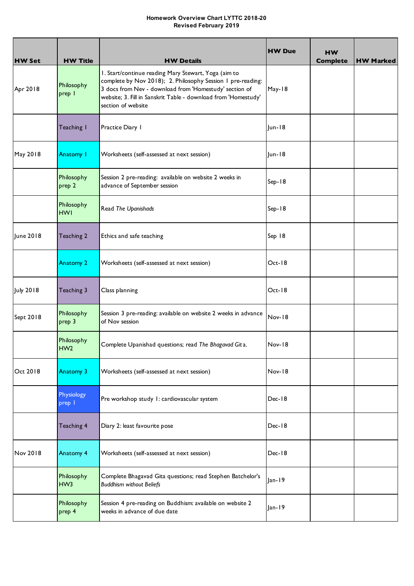## **Homework Overview Chart LYTTC 2018-20 Revised February 2019**

| <b>HW Set</b>    | <b>HW Title</b>               | <b>HW Details</b>                                                                                                                                                                                                                                                     | <b>HW Due</b> | <b>HW</b><br><b>Complete</b> | <b>HW Marked</b> |
|------------------|-------------------------------|-----------------------------------------------------------------------------------------------------------------------------------------------------------------------------------------------------------------------------------------------------------------------|---------------|------------------------------|------------------|
| Apr 2018         | Philosophy<br>prep            | I. Start/continue reading Mary Stewart, Yoga (aim to<br>complete by Nov 2018); 2. Philosophy Session 1 pre-reading:<br>3 docs from Nev - download from 'Homestudy' section of<br>website; 3. Fill in Sanskrit Table - download from 'Homestudy'<br>section of website | May-18        |                              |                  |
|                  | Teaching I                    | Practice Diary I                                                                                                                                                                                                                                                      | $ un-18$      |                              |                  |
| May 2018         | Anatomy I                     | Worksheets (self-assessed at next session)                                                                                                                                                                                                                            | $ un-18$      |                              |                  |
|                  | Philosophy<br>prep 2          | Session 2 pre-reading: available on website 2 weeks in<br>advance of September session                                                                                                                                                                                | Sep-18        |                              |                  |
|                  | Philosophy<br><b>HWI</b>      | Read The Upanishads                                                                                                                                                                                                                                                   | Sep-18        |                              |                  |
| June 2018        | Teaching 2                    | Ethics and safe teaching                                                                                                                                                                                                                                              | Sep 18        |                              |                  |
|                  | <b>Anatomy 2</b>              | Worksheets (self-assessed at next session)                                                                                                                                                                                                                            | Oct-18        |                              |                  |
| <b>July 2018</b> | Teaching 3                    | Class planning                                                                                                                                                                                                                                                        | $Oct-18$      |                              |                  |
| Sept 2018        | Philosophy<br>prep 3          | Session 3 pre-reading: available on website 2 weeks in advance<br>of Nov session                                                                                                                                                                                      | Nov-18        |                              |                  |
|                  | Philosophy<br>HW <sub>2</sub> | Complete Upanishad questions; read The Bhagavad Gita.                                                                                                                                                                                                                 | <b>Nov-18</b> |                              |                  |
| Oct 2018         | <b>Anatomy 3</b>              | Worksheets (self-assessed at next session)                                                                                                                                                                                                                            | Nov-18        |                              |                  |
|                  | Physiology<br>prep            | Pre workshop study 1: cardiovascular system                                                                                                                                                                                                                           | Dec-18        |                              |                  |
|                  | Teaching 4                    | Diary 2: least favourite pose                                                                                                                                                                                                                                         | Dec-18        |                              |                  |
| Nov 2018         | <b>Anatomy 4</b>              | Worksheets (self-assessed at next session)                                                                                                                                                                                                                            | Dec-18        |                              |                  |
|                  | Philosophy<br>HW <sub>3</sub> | Complete Bhagavad Gita questions; read Stephen Batchelor's<br><b>Buddhism without Beliefs</b>                                                                                                                                                                         | $Jan-19$      |                              |                  |
|                  | Philosophy<br>prep 4          | Session 4 pre-reading on Buddhism: available on website 2<br>weeks in advance of due date                                                                                                                                                                             | $Jan-19$      |                              |                  |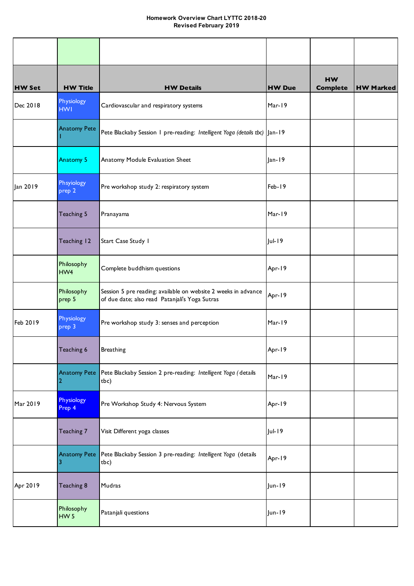## **Homework Overview Chart LYTTC 2018-20 Revised February 2019**

| <b>HW Set</b> | <b>HW Title</b>               | <b>HW Details</b>                                                                                                | <b>HW Due</b> | <b>HW</b><br><b>Complete</b> | <b>HW Marked</b> |
|---------------|-------------------------------|------------------------------------------------------------------------------------------------------------------|---------------|------------------------------|------------------|
| Dec 2018      | Physiology<br><b>HWI</b>      | Cardiovascular and respiratory systems                                                                           | Mar-19        |                              |                  |
|               | <b>Anatomy Pete</b>           | Pete Blackaby Session 1 pre-reading: Intelligent Yoga (details tbc) Jan-19                                       |               |                              |                  |
|               | Anatomy 5                     | Anatomy Module Evaluation Sheet                                                                                  | $ an-19 $     |                              |                  |
| Jan 2019      | Phsyiology<br>prep 2          | Pre workshop study 2: respiratory system                                                                         | Feb-19        |                              |                  |
|               | Teaching 5                    | Pranayama                                                                                                        | Mar-19        |                              |                  |
|               | Teaching 12                   | Start Case Study 1                                                                                               | $ ul-19$      |                              |                  |
|               | Philosophy<br>HW4             | Complete buddhism questions                                                                                      | Apr-19        |                              |                  |
|               | Philosophy<br>prep 5          | Session 5 pre reading: available on website 2 weeks in advance<br>of due date; also read Patanjali's Yoga Sutras | Apr-19        |                              |                  |
| Feb 2019      | Physiology<br>prep 3          | Pre workshop study 3: senses and perception                                                                      | Mar-19        |                              |                  |
|               | Teaching 6                    | Breathing                                                                                                        | Apr-19        |                              |                  |
|               | 2                             | Anatomy Pete Pete Blackaby Session 2 pre-reading: Intelligent Yoga (details<br>tbc)                              | Mar-19        |                              |                  |
| Mar 2019      | Physiology<br>Prep 4          | Pre Workshop Study 4: Nervous System                                                                             | Apr-19        |                              |                  |
|               | Teaching 7                    | Visit Different yoga classes                                                                                     | Jul-19        |                              |                  |
|               | <b>Anatomy Pete</b><br>3      | Pete Blackaby Session 3 pre-reading: Intelligent Yoga (details<br>tbc)                                           | Apr-19        |                              |                  |
| Apr 2019      | Teaching 8                    | Mudras                                                                                                           | Jun-19        |                              |                  |
|               | Philosophy<br>HW <sub>5</sub> | Patanjali questions                                                                                              | Jun-19        |                              |                  |